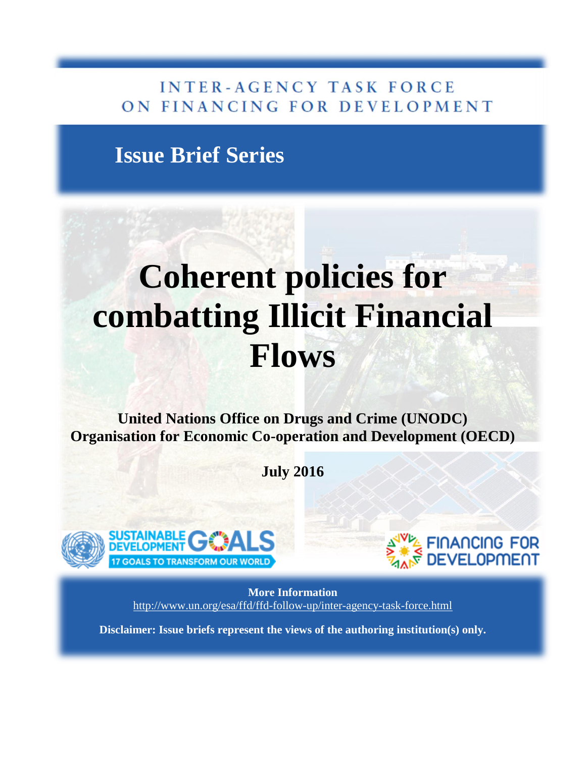### **INTER-AGENCY TASK FORCE** ON FINANCING FOR DEVELOPMENT

## **Issue Brief Series**

# **Coherent policies for combatting Illicit Financial Flows**

**United Nations Office on Drugs and Crime (UNODC) Organisation for Economic Co-operation and Development (OECD)**

**July 2016**





**More Information** <http://www.un.org/esa/ffd/ffd-follow-up/inter-agency-task-force.html>

**Disclaimer: Issue briefs represent the views of the authoring institution(s) only.**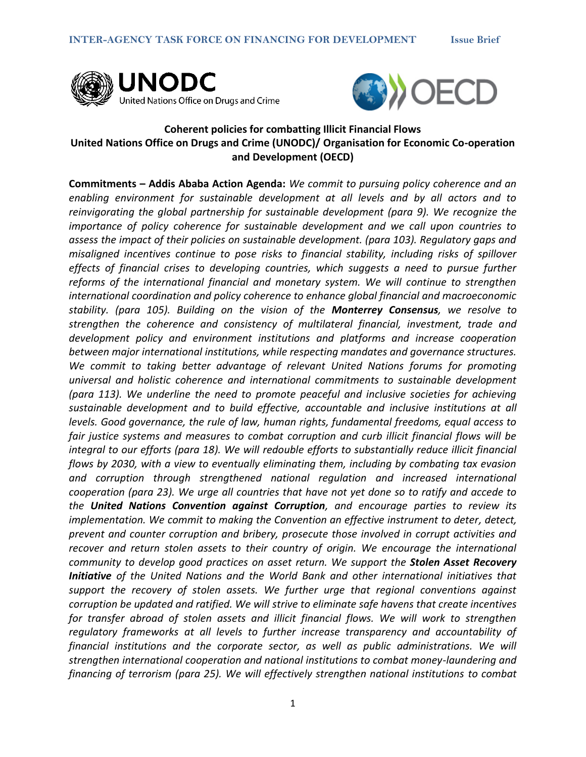



#### **Coherent policies for combatting Illicit Financial Flows United Nations Office on Drugs and Crime (UNODC)/ Organisation for Economic Co-operation and Development (OECD)**

**Commitments – Addis Ababa Action Agenda:** *We commit to pursuing policy coherence and an enabling environment for sustainable development at all levels and by all actors and to reinvigorating the global partnership for sustainable development (para 9). We recognize the importance of policy coherence for sustainable development and we call upon countries to assess the impact of their policies on sustainable development. (para 103). Regulatory gaps and misaligned incentives continue to pose risks to financial stability, including risks of spillover effects of financial crises to developing countries, which suggests a need to pursue further reforms of the international financial and monetary system. We will continue to strengthen international coordination and policy coherence to enhance global financial and macroeconomic stability. (para 105). Building on the vision of the Monterrey Consensus, we resolve to strengthen the coherence and consistency of multilateral financial, investment, trade and development policy and environment institutions and platforms and increase cooperation between major international institutions, while respecting mandates and governance structures. We commit to taking better advantage of relevant United Nations forums for promoting universal and holistic coherence and international commitments to sustainable development (para 113). We underline the need to promote peaceful and inclusive societies for achieving sustainable development and to build effective, accountable and inclusive institutions at all levels. Good governance, the rule of law, human rights, fundamental freedoms, equal access to fair justice systems and measures to combat corruption and curb illicit financial flows will be integral to our efforts (para 18). We will redouble efforts to substantially reduce illicit financial flows by 2030, with a view to eventually eliminating them, including by combating tax evasion and corruption through strengthened national regulation and increased international cooperation (para 23). We urge all countries that have not yet done so to ratify and accede to the United Nations Convention against Corruption, and encourage parties to review its implementation. We commit to making the Convention an effective instrument to deter, detect, prevent and counter corruption and bribery, prosecute those involved in corrupt activities and*  recover and return stolen assets to their country of origin. We encourage the international *community to develop good practices on asset return. We support the Stolen Asset Recovery Initiative of the United Nations and the World Bank and other international initiatives that support the recovery of stolen assets. We further urge that regional conventions against corruption be updated and ratified. We will strive to eliminate safe havens that create incentives for transfer abroad of stolen assets and illicit financial flows. We will work to strengthen regulatory frameworks at all levels to further increase transparency and accountability of financial institutions and the corporate sector, as well as public administrations. We will strengthen international cooperation and national institutions to combat money-laundering and financing of terrorism (para 25). We will effectively strengthen national institutions to combat*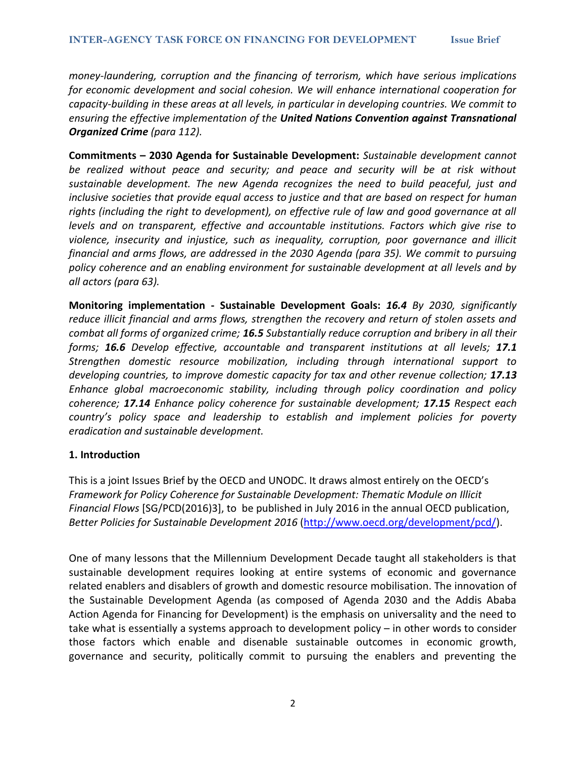*money-laundering, corruption and the financing of terrorism, which have serious implications for economic development and social cohesion. We will enhance international cooperation for capacity-building in these areas at all levels, in particular in developing countries. We commit to ensuring the effective implementation of the United Nations Convention against Transnational Organized Crime (para 112).*

**Commitments – 2030 Agenda for Sustainable Development:** *Sustainable development cannot be realized without peace and security; and peace and security will be at risk without sustainable development. The new Agenda recognizes the need to build peaceful, just and inclusive societies that provide equal access to justice and that are based on respect for human rights (including the right to development), on effective rule of law and good governance at all levels and on transparent, effective and accountable institutions. Factors which give rise to violence, insecurity and injustice, such as inequality, corruption, poor governance and illicit financial and arms flows, are addressed in the 2030 Agenda (para 35). We commit to pursuing policy coherence and an enabling environment for sustainable development at all levels and by all actors (para 63).*

**Monitoring implementation - Sustainable Development Goals:** *16.4 By 2030, significantly reduce illicit financial and arms flows, strengthen the recovery and return of stolen assets and combat all forms of organized crime; 16.5 Substantially reduce corruption and bribery in all their forms; 16.6 Develop effective, accountable and transparent institutions at all levels; 17.1 Strengthen domestic resource mobilization, including through international support to developing countries, to improve domestic capacity for tax and other revenue collection; 17.13 Enhance global macroeconomic stability, including through policy coordination and policy coherence; 17.14 Enhance policy coherence for sustainable development; 17.15 Respect each country's policy space and leadership to establish and implement policies for poverty eradication and sustainable development.*

#### **1. Introduction**

This is a joint Issues Brief by the OECD and UNODC. It draws almost entirely on the OECD's *Framework for Policy Coherence for Sustainable Development: Thematic Module on Illicit Financial Flows* [SG/PCD(2016)3], to be published in July 2016 in the annual OECD publication, *Better Policies for Sustainable Development 2016* [\(http://www.oecd.org/development/pcd/\)](http://www.oecd.org/development/pcd/).

One of many lessons that the Millennium Development Decade taught all stakeholders is that sustainable development requires looking at entire systems of economic and governance related enablers and disablers of growth and domestic resource mobilisation. The innovation of the Sustainable Development Agenda (as composed of Agenda 2030 and the Addis Ababa Action Agenda for Financing for Development) is the emphasis on universality and the need to take what is essentially a systems approach to development policy – in other words to consider those factors which enable and disenable sustainable outcomes in economic growth, governance and security, politically commit to pursuing the enablers and preventing the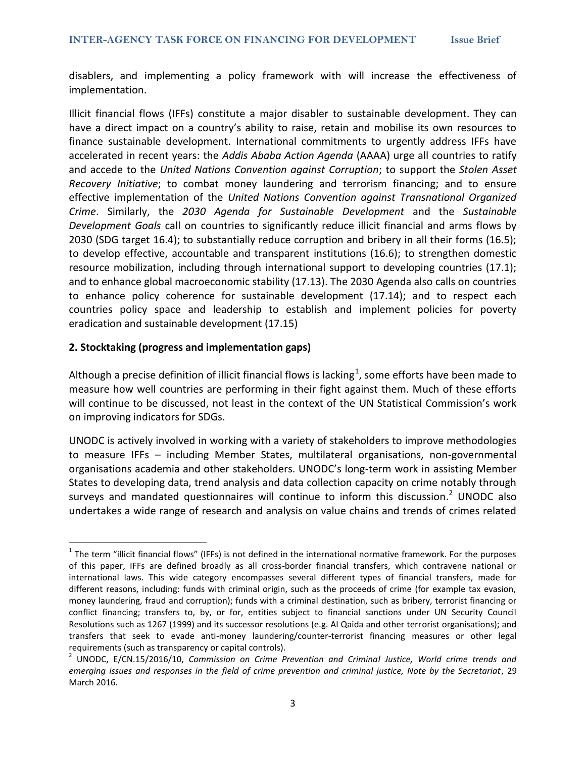disablers, and implementing a policy framework with will increase the effectiveness of implementation.

Illicit financial flows (IFFs) constitute a major disabler to sustainable development. They can have a direct impact on a country's ability to raise, retain and mobilise its own resources to finance sustainable development. International commitments to urgently address IFFs have accelerated in recent years: the *Addis Ababa Action Agenda* (AAAA) urge all countries to ratify and accede to the *United Nations Convention against Corruption*; to support the *Stolen Asset Recovery Initiative*; to combat money laundering and terrorism financing; and to ensure effective implementation of the *United Nations Convention against Transnational Organized Crime*. Similarly, the *2030 Agenda for Sustainable Development* and the *Sustainable Development Goals* call on countries to significantly reduce illicit financial and arms flows by 2030 (SDG target 16.4); to substantially reduce corruption and bribery in all their forms (16.5); to develop effective, accountable and transparent institutions (16.6); to strengthen domestic resource mobilization, including through international support to developing countries (17.1); and to enhance global macroeconomic stability (17.13). The 2030 Agenda also calls on countries to enhance policy coherence for sustainable development (17.14); and to respect each countries policy space and leadership to establish and implement policies for poverty eradication and sustainable development (17.15)

#### **2. Stocktaking (progress and implementation gaps)**

 $\overline{\phantom{a}}$ 

Although a precise definition of illicit financial flows is lacking $^1$ , some efforts have been made to measure how well countries are performing in their fight against them. Much of these efforts will continue to be discussed, not least in the context of the UN Statistical Commission's work on improving indicators for SDGs.

UNODC is actively involved in working with a variety of stakeholders to improve methodologies to measure IFFs – including Member States, multilateral organisations, non-governmental organisations academia and other stakeholders. UNODC's long-term work in assisting Member States to developing data, trend analysis and data collection capacity on crime notably through surveys and mandated questionnaires will continue to inform this discussion.<sup>2</sup> UNODC also undertakes a wide range of research and analysis on value chains and trends of crimes related

 $1$  The term "illicit financial flows" (IFFs) is not defined in the international normative framework. For the purposes of this paper, IFFs are defined broadly as all cross-border financial transfers, which contravene national or international laws. This wide category encompasses several different types of financial transfers, made for different reasons, including: funds with criminal origin, such as the proceeds of crime (for example tax evasion, money laundering, fraud and corruption); funds with a criminal destination, such as bribery, terrorist financing or conflict financing; transfers to, by, or for, entities subject to financial sanctions under UN Security Council Resolutions such as 1267 (1999) and its successor resolutions (e.g. Al Qaida and other terrorist organisations); and transfers that seek to evade anti-money laundering/counter-terrorist financing measures or other legal requirements (such as transparency or capital controls).

<sup>2</sup> UNODC, E/CN.15/2016/10, *Commission on Crime Prevention and Criminal Justice, World crime trends and emerging issues and responses in the field of crime prevention and criminal justice, Note by the Secretariat*, 29 March 2016.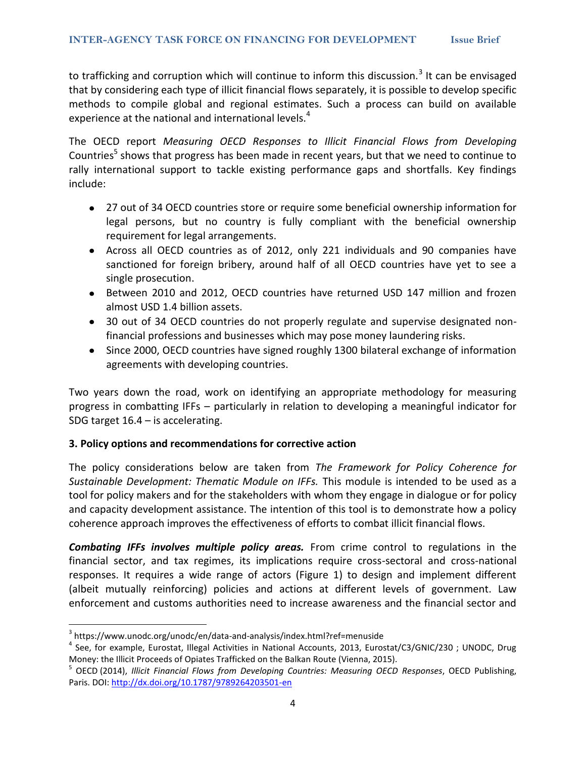to trafficking and corruption which will continue to inform this discussion.<sup>3</sup> It can be envisaged that by considering each type of illicit financial flows separately, it is possible to develop specific methods to compile global and regional estimates. Such a process can build on available experience at the national and international levels.<sup>4</sup>

The OECD report *Measuring OECD Responses to Illicit Financial Flows from Developing*  Countries<sup>5</sup> shows that progress has been made in recent years, but that we need to continue to rally international support to tackle existing performance gaps and shortfalls. Key findings include:

- 27 out of 34 OECD countries store or require some beneficial ownership information for legal persons, but no country is fully compliant with the beneficial ownership requirement for legal arrangements.
- Across all OECD countries as of 2012, only 221 individuals and 90 companies have sanctioned for foreign bribery, around half of all OECD countries have yet to see a single prosecution.
- Between 2010 and 2012, OECD countries have returned USD 147 million and frozen almost USD 1.4 billion assets.
- 30 out of 34 OECD countries do not properly regulate and supervise designated nonfinancial professions and businesses which may pose money laundering risks.
- Since 2000, OECD countries have signed roughly 1300 bilateral exchange of information  $\bullet$ agreements with developing countries.

Two years down the road, work on identifying an appropriate methodology for measuring progress in combatting IFFs – particularly in relation to developing a meaningful indicator for SDG target 16.4 – is accelerating.

#### **3. Policy options and recommendations for corrective action**

The policy considerations below are taken from *The Framework for Policy Coherence for Sustainable Development: Thematic Module on IFFs.* This module is intended to be used as a tool for policy makers and for the stakeholders with whom they engage in dialogue or for policy and capacity development assistance. The intention of this tool is to demonstrate how a policy coherence approach improves the effectiveness of efforts to combat illicit financial flows.

*Combating IFFs involves multiple policy areas.* From crime control to regulations in the financial sector, and tax regimes, its implications require cross-sectoral and cross-national responses. It requires a wide range of actors (Figure 1) to design and implement different (albeit mutually reinforcing) policies and actions at different levels of government. Law enforcement and customs authorities need to increase awareness and the financial sector and

l

<sup>&</sup>lt;sup>3</sup> https://www.unodc.org/unodc/en/data-and-analysis/index.html?ref=menuside

<sup>&</sup>lt;sup>4</sup> See, for example, Eurostat, Illegal Activities in National Accounts, 2013, Eurostat/C3/GNIC/230; UNODC, Drug Money: the Illicit Proceeds of Opiates Trafficked on the Balkan Route (Vienna, 2015).

<sup>5</sup> OECD (2014), *Illicit Financial Flows from Developing Countries: Measuring OECD Responses*, OECD Publishing, Paris. DOI[: http://dx.doi.org/10.1787/9789264203501-en](http://dx.doi.org/10.1787/9789264203501-en)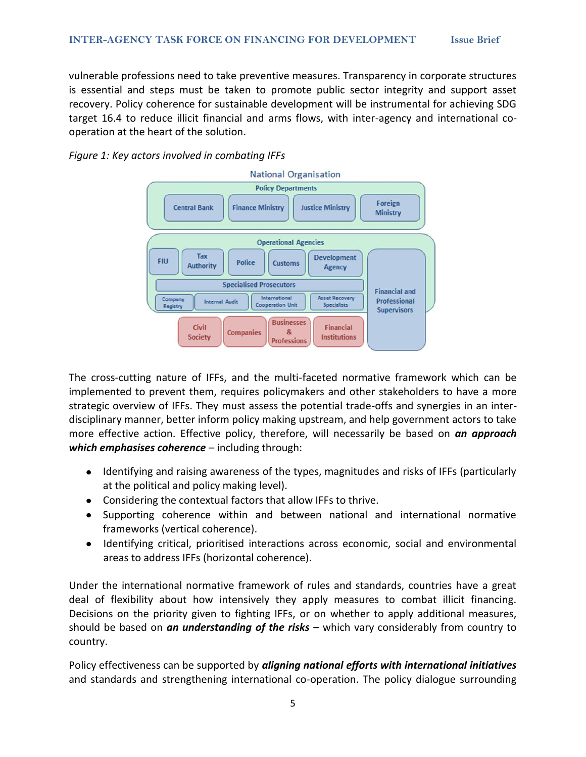vulnerable professions need to take preventive measures. Transparency in corporate structures is essential and steps must be taken to promote public sector integrity and support asset recovery. Policy coherence for sustainable development will be instrumental for achieving SDG target 16.4 to reduce illicit financial and arms flows, with inter-agency and international cooperation at the heart of the solution.





The cross-cutting nature of IFFs, and the multi-faceted normative framework which can be implemented to prevent them, requires policymakers and other stakeholders to have a more strategic overview of IFFs. They must assess the potential trade-offs and synergies in an interdisciplinary manner, better inform policy making upstream, and help government actors to take more effective action. Effective policy, therefore, will necessarily be based on *an approach which emphasises coherence* – including through:

- $\bullet$ Identifying and raising awareness of the types, magnitudes and risks of IFFs (particularly at the political and policy making level).
- Considering the contextual factors that allow IFFs to thrive.
- Supporting coherence within and between national and international normative frameworks (vertical coherence).
- Identifying critical, prioritised interactions across economic, social and environmental areas to address IFFs (horizontal coherence).

Under the international normative framework of rules and standards, countries have a great deal of flexibility about how intensively they apply measures to combat illicit financing. Decisions on the priority given to fighting IFFs, or on whether to apply additional measures, should be based on *an understanding of the risks* – which vary considerably from country to country.

Policy effectiveness can be supported by *aligning national efforts with international initiatives* and standards and strengthening international co-operation. The policy dialogue surrounding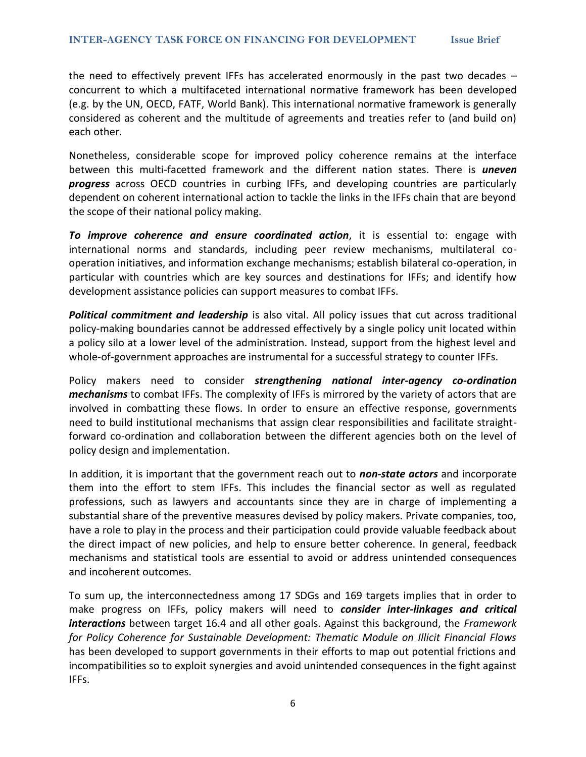the need to effectively prevent IFFs has accelerated enormously in the past two decades – concurrent to which a multifaceted international normative framework has been developed (e.g. by the UN, OECD, FATF, World Bank). This international normative framework is generally considered as coherent and the multitude of agreements and treaties refer to (and build on) each other.

Nonetheless, considerable scope for improved policy coherence remains at the interface between this multi-facetted framework and the different nation states. There is *uneven progress* across OECD countries in curbing IFFs, and developing countries are particularly dependent on coherent international action to tackle the links in the IFFs chain that are beyond the scope of their national policy making.

*To improve coherence and ensure coordinated action*, it is essential to: engage with international norms and standards, including peer review mechanisms, multilateral cooperation initiatives, and information exchange mechanisms; establish bilateral co-operation, in particular with countries which are key sources and destinations for IFFs; and identify how development assistance policies can support measures to combat IFFs.

*Political commitment and leadership* is also vital. All policy issues that cut across traditional policy-making boundaries cannot be addressed effectively by a single policy unit located within a policy silo at a lower level of the administration. Instead, support from the highest level and whole-of-government approaches are instrumental for a successful strategy to counter IFFs.

Policy makers need to consider *strengthening national inter-agency co-ordination mechanisms* to combat IFFs. The complexity of IFFs is mirrored by the variety of actors that are involved in combatting these flows. In order to ensure an effective response, governments need to build institutional mechanisms that assign clear responsibilities and facilitate straightforward co-ordination and collaboration between the different agencies both on the level of policy design and implementation.

In addition, it is important that the government reach out to *non-state actors* and incorporate them into the effort to stem IFFs. This includes the financial sector as well as regulated professions, such as lawyers and accountants since they are in charge of implementing a substantial share of the preventive measures devised by policy makers. Private companies, too, have a role to play in the process and their participation could provide valuable feedback about the direct impact of new policies, and help to ensure better coherence. In general, feedback mechanisms and statistical tools are essential to avoid or address unintended consequences and incoherent outcomes.

To sum up, the interconnectedness among 17 SDGs and 169 targets implies that in order to make progress on IFFs, policy makers will need to *consider inter-linkages and critical interactions* between target 16.4 and all other goals. Against this background, the *Framework for Policy Coherence for Sustainable Development: Thematic Module on Illicit Financial Flows* has been developed to support governments in their efforts to map out potential frictions and incompatibilities so to exploit synergies and avoid unintended consequences in the fight against IFFs.